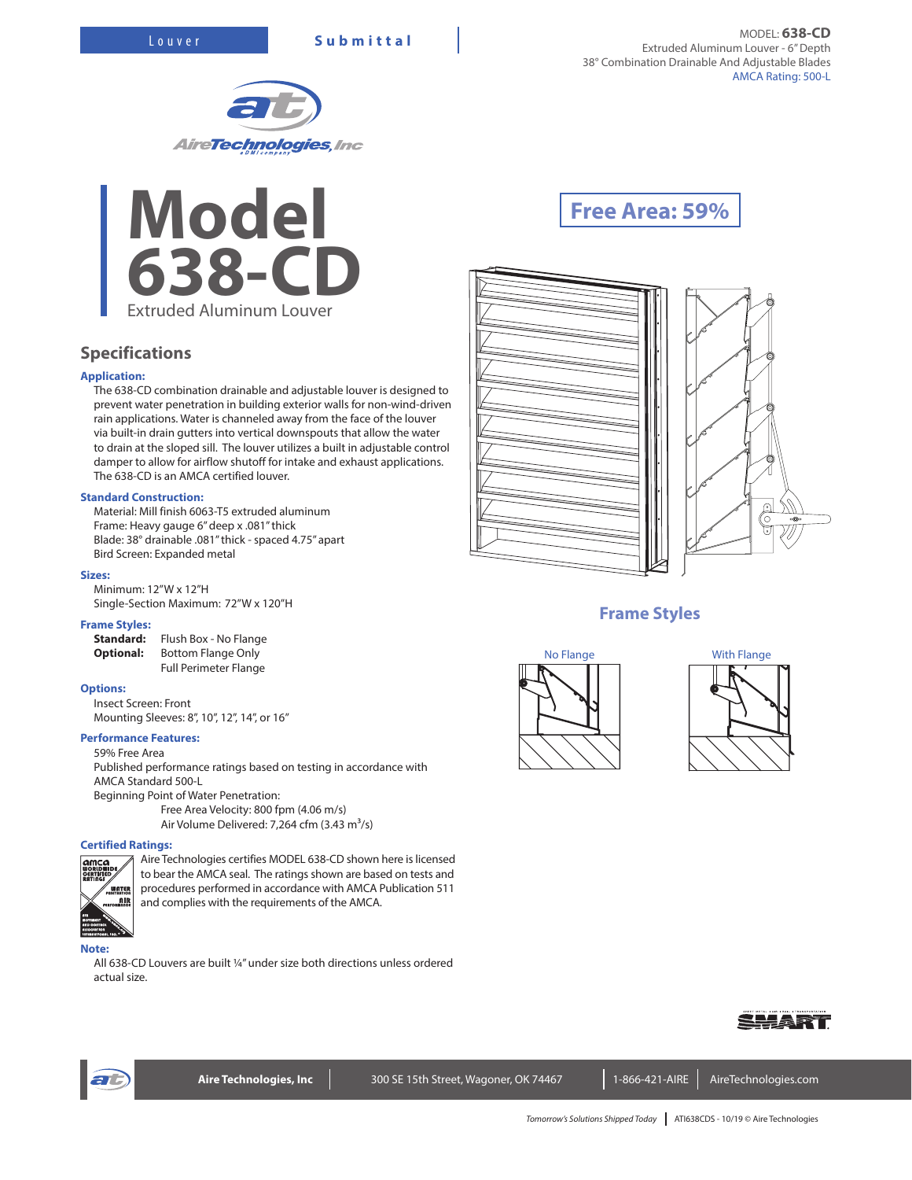



## **Specifications**

## **Application:**

The 638-CD combination drainable and adjustable louver is designed to prevent water penetration in building exterior walls for non-wind-driven rain applications. Water is channeled away from the face of the louver via built-in drain gutters into vertical downspouts that allow the water to drain at the sloped sill. The louver utilizes a built in adjustable control damper to allow for airflow shutoff for intake and exhaust applications. The 638-CD is an AMCA certified louver.

## **Standard Construction:**

Material: Mill finish 6063-T5 extruded aluminum Frame: Heavy gauge 6" deep x .081" thick Blade: 38° drainable .081" thick - spaced 4.75" apart Bird Screen: Expanded metal

### **Sizes:**

Minimum: 12"W x 12"H Single-Section Maximum: 72"W x 120"H

### **Frame Styles:**

**Standard:** Flush Box - No Flange **Optional:** Bottom Flange Only Full Perimeter Flange

#### **Options:**

Insect Screen: Front Mounting Sleeves: 8", 10", 12", 14", or 16"

#### **Performance Features:**

59% Free Area

Published performance ratings based on testing in accordance with AMCA Standard 500-L

Beginning Point of Water Penetration:

Free Area Velocity: 800 fpm (4.06 m/s) Air Volume Delivered: 7,264 cfm  $(3.43 \text{ m}^3/\text{s})$ 

## **Certified Ratings:**



Aire Technologies certifies MODEL 638-CD shown here is licensed to bear the AMCA seal. The ratings shown are based on tests and procedures performed in accordance with AMCA Publication 511 and complies with the requirements of the AMCA.

#### **Note:**

All 638-CD Louvers are built ¼" under size both directions unless ordered actual size.

# **Free Area: 59%**





# **Frame Styles**